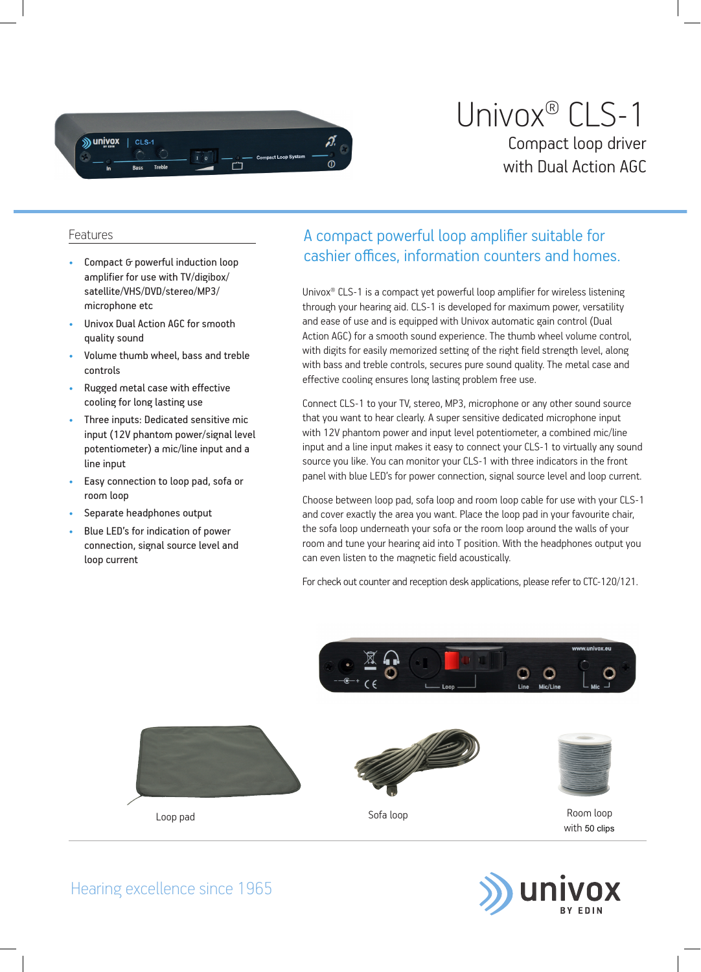

## Univox® CLS-1 Compact loop driver with Dual Action AGC

## Features

- Compact G powerful induction loop amplifier for use with TV/digibox/ satellite/VHS/DVD/stereo/MP3/ microphone etc
- Univox Dual Action AGC for smooth quality sound
- Volume thumb wheel, bass and treble controls
- Rugged metal case with effective cooling for long lasting use
- Three inputs: Dedicated sensitive mic input (12V phantom power/signal level potentiometer) a mic/line input and a line input
- Easy connection to loop pad, sofa or room loop
- Separate headphones output
- Blue LED's for indication of power connection, signal source level and loop current

## A compact powerful loop amplifier suitable for cashier offices, information counters and homes.

Univox<sup>®</sup> CLS-1 is a compact yet powerful loop amplifier for wireless listening through your hearing aid. CLS-1 is developed for maximum power, versatility and ease of use and is equipped with Univox automatic gain control (Dual Action AGC) for a smooth sound experience. The thumb wheel volume control, with digits for easily memorized setting of the right field strength level, along with bass and treble controls, secures pure sound quality. The metal case and effective cooling ensures long lasting problem free use.

Connect CLS-1 to your TV, stereo, MP3, microphone or any other sound source that you want to hear clearly. A super sensitive dedicated microphone input with 12V phantom power and input level potentiometer, a combined mic/line input and a line input makes it easy to connect your CLS-1 to virtually any sound source you like. You can monitor your CLS-1 with three indicators in the front panel with blue LED's for power connection, signal source level and loop current.

Choose between loop pad, sofa loop and room loop cable for use with your CLS-1 and cover exactly the area you want. Place the loop pad in your favourite chair, the sofa loop underneath your sofa or the room loop around the walls of your room and tune your hearing aid into T position. With the headphones output you can even listen to the magnetic field acoustically.

For check out counter and reception desk applications, please refer to CTC-120/121.